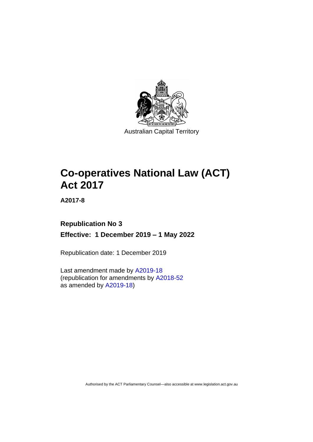

# **Co-operatives National Law (ACT) Act 2017**

**A2017-8**

# **Republication No 3 Effective: 1 December 2019 – 1 May 2022**

Republication date: 1 December 2019

Last amendment made by [A2019-18](http://www.legislation.act.gov.au/a/2019-18/) (republication for amendments by [A2018-52](https://www.legislation.act.gov.au/a/2018-52/#history) as amended by [A2019-18\)](https://www.legislation.act.gov.au/a/2019-18/)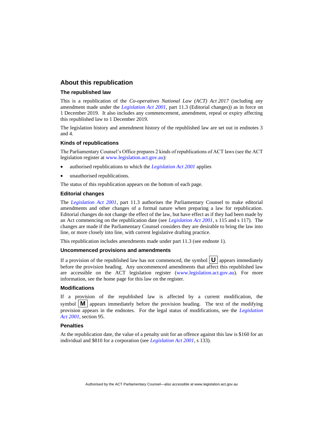#### **About this republication**

#### **The republished law**

This is a republication of the *Co-operatives National Law (ACT) Act 2017* (including any amendment made under the *[Legislation Act 2001](http://www.legislation.act.gov.au/a/2001-14)*, part 11.3 (Editorial changes)) as in force on 1 December 2019*.* It also includes any commencement, amendment, repeal or expiry affecting this republished law to 1 December 2019.

The legislation history and amendment history of the republished law are set out in endnotes 3 and 4.

#### **Kinds of republications**

The Parliamentary Counsel's Office prepares 2 kinds of republications of ACT laws (see the ACT legislation register at [www.legislation.act.gov.au\)](http://www.legislation.act.gov.au/):

- authorised republications to which the *[Legislation Act 2001](http://www.legislation.act.gov.au/a/2001-14)* applies
- unauthorised republications.

The status of this republication appears on the bottom of each page.

#### **Editorial changes**

The *[Legislation Act 2001](http://www.legislation.act.gov.au/a/2001-14)*, part 11.3 authorises the Parliamentary Counsel to make editorial amendments and other changes of a formal nature when preparing a law for republication. Editorial changes do not change the effect of the law, but have effect as if they had been made by an Act commencing on the republication date (see *[Legislation Act 2001](http://www.legislation.act.gov.au/a/2001-14)*, s 115 and s 117). The changes are made if the Parliamentary Counsel considers they are desirable to bring the law into line, or more closely into line, with current legislative drafting practice.

This republication includes amendments made under part 11.3 (see endnote 1).

#### **Uncommenced provisions and amendments**

If a provision of the republished law has not commenced, the symbol  $\mathbf{U}$  appears immediately before the provision heading. Any uncommenced amendments that affect this republished law are accessible on the ACT legislation register [\(www.legislation.act.gov.au\)](http://www.legislation.act.gov.au/). For more information, see the home page for this law on the register.

#### **Modifications**

If a provision of the republished law is affected by a current modification, the symbol  $\mathbf{M}$  appears immediately before the provision heading. The text of the modifying provision appears in the endnotes. For the legal status of modifications, see the *[Legislation](http://www.legislation.act.gov.au/a/2001-14)  Act [2001](http://www.legislation.act.gov.au/a/2001-14)*, section 95.

#### **Penalties**

At the republication date, the value of a penalty unit for an offence against this law is \$160 for an individual and \$810 for a corporation (see *[Legislation Act 2001](http://www.legislation.act.gov.au/a/2001-14)*, s 133).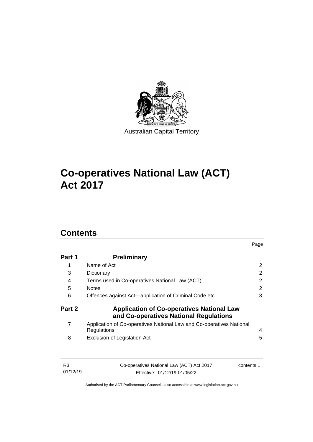

# **Co-operatives National Law (ACT) Act 2017**

# **Contents**

| Part 1 | <b>Preliminary</b>                                                                         |   |  |  |  |  |
|--------|--------------------------------------------------------------------------------------------|---|--|--|--|--|
| 1      | Name of Act                                                                                | 2 |  |  |  |  |
| 3      | Dictionary<br>Terms used in Co-operatives National Law (ACT)<br><b>Notes</b>               |   |  |  |  |  |
| 4      |                                                                                            |   |  |  |  |  |
| 5      |                                                                                            |   |  |  |  |  |
| 6      | Offences against Act-application of Criminal Code etc                                      | 3 |  |  |  |  |
| Part 2 | <b>Application of Co-operatives National Law</b><br>and Co-operatives National Regulations |   |  |  |  |  |
| 7      | Application of Co-operatives National Law and Co-operatives National<br>Regulations        | 4 |  |  |  |  |
| 8      | <b>Exclusion of Legislation Act</b>                                                        | 5 |  |  |  |  |
|        |                                                                                            |   |  |  |  |  |
| R3     | Co-operatives National Law (ACT) Act 2017<br>contents 1                                    |   |  |  |  |  |

Page

01/12/19 Effective: 01/12/19-01/05/22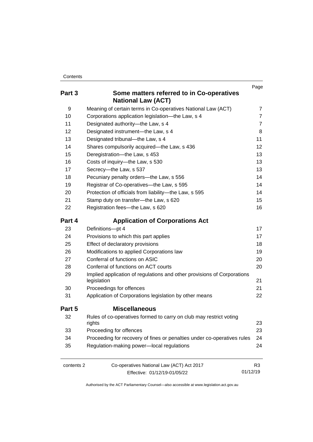| Contents |
|----------|
|----------|

|            |                                                                                        | Page           |
|------------|----------------------------------------------------------------------------------------|----------------|
| Part 3     | Some matters referred to in Co-operatives<br><b>National Law (ACT)</b>                 |                |
| 9          | Meaning of certain terms in Co-operatives National Law (ACT)                           | $\overline{7}$ |
| 10         | Corporations application legislation-the Law, s 4                                      | $\overline{7}$ |
| 11         | Designated authority-the Law, s 4                                                      | $\overline{7}$ |
| 12         | Designated instrument-the Law, s 4                                                     | 8              |
| 13         | Designated tribunal-the Law, s 4                                                       | 11             |
| 14         | Shares compulsorily acquired-the Law, s 436                                            | 12             |
| 15         | Deregistration-the Law, s 453                                                          | 13             |
| 16         | Costs of inquiry-the Law, s 530                                                        | 13             |
| 17         | Secrecy-the Law, s 537                                                                 | 13             |
| 18         | Pecuniary penalty orders-the Law, s 556                                                | 14             |
| 19         | Registrar of Co-operatives-the Law, s 595                                              | 14             |
| 20         | Protection of officials from liability-the Law, s 595                                  | 14             |
| 21         | Stamp duty on transfer-the Law, s 620                                                  | 15             |
| 22         | Registration fees-the Law, s 620                                                       | 16             |
| Part 4     | <b>Application of Corporations Act</b>                                                 |                |
| 23         | Definitions-pt 4                                                                       | 17             |
| 24         | Provisions to which this part applies                                                  | 17             |
| 25         | Effect of declaratory provisions                                                       | 18             |
| 26         | Modifications to applied Corporations law                                              | 19             |
| 27         | Conferral of functions on ASIC                                                         | 20             |
| 28         | Conferral of functions on ACT courts                                                   | 20             |
| 29         | Implied application of regulations and other provisions of Corporations<br>legislation | 21             |
| 30         | Proceedings for offences                                                               | 21             |
| 31         | Application of Corporations legislation by other means                                 | 22             |
| Part 5     | <b>Miscellaneous</b>                                                                   |                |
| 32         | Rules of co-operatives formed to carry on club may restrict voting<br>rights           | 23             |
| 33         | Proceeding for offences                                                                | 23             |
| 34         | Proceeding for recovery of fines or penalties under co-operatives rules                | 24             |
| 35         | Regulation-making power-local regulations                                              | 24             |
| contents 2 | Co-operatives National Law (ACT) Act 2017                                              | R <sub>3</sub> |
|            | Effective: 01/12/19-01/05/22                                                           | 01/12/19       |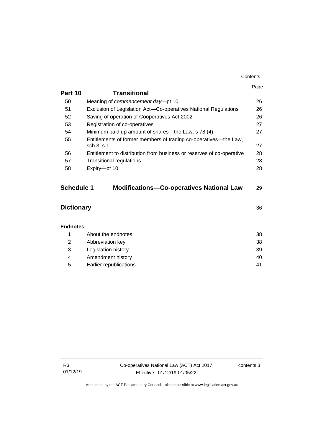|                   |                                                                                | Page |  |  |
|-------------------|--------------------------------------------------------------------------------|------|--|--|
| Part 10           | <b>Transitional</b>                                                            |      |  |  |
| 50                | Meaning of commencement day-pt 10                                              | 26   |  |  |
| 51                | Exclusion of Legislation Act-Co-operatives National Regulations                | 26   |  |  |
| 52                | Saving of operation of Cooperatives Act 2002                                   | 26   |  |  |
| 53                | Registration of co-operatives                                                  | 27   |  |  |
| 54                | Minimum paid up amount of shares—the Law, s 78 (4)                             | 27   |  |  |
| 55                | Entitlements of former members of trading co-operatives—the Law,<br>sch 3, s 1 | 27   |  |  |
| 56                | Entitlement to distribution from business or reserves of co-operative          | 28   |  |  |
| 57                | <b>Transitional regulations</b>                                                |      |  |  |
| 58                | Expiry-pt 10                                                                   | 28   |  |  |
|                   |                                                                                |      |  |  |
| <b>Schedule 1</b> | <b>Modifications-Co-operatives National Law</b>                                | 29   |  |  |
|                   |                                                                                |      |  |  |
| <b>Dictionary</b> |                                                                                | 36   |  |  |
| <b>Endnotes</b>   |                                                                                |      |  |  |
| 1                 | About the endnotes                                                             | 38   |  |  |
| 2                 | Abbreviation key                                                               | 38   |  |  |
| 3                 | Legislation history                                                            |      |  |  |
| 4                 | Amendment history                                                              |      |  |  |
| 5                 | Earlier republications                                                         | 41   |  |  |

**Contents**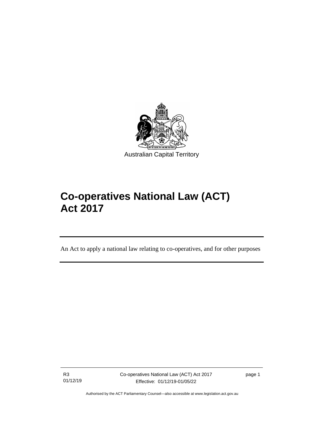

# **Co-operatives National Law (ACT) Act 2017**

An Act to apply a national law relating to co-operatives, and for other purposes

R3 01/12/19

ֺֺׅ֡֡֡֬֞

Co-operatives National Law (ACT) Act 2017 Effective: 01/12/19-01/05/22

page 1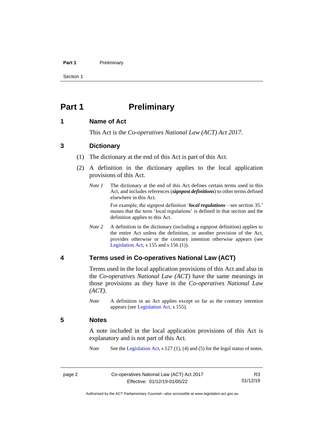#### **Part 1** Preliminary

Section 1

# <span id="page-7-0"></span>**Part 1 Preliminary**

#### <span id="page-7-1"></span>**1 Name of Act**

This Act is the *Co-operatives National Law (ACT) Act 2017*.

#### <span id="page-7-2"></span>**3 Dictionary**

- (1) The dictionary at the end of this Act is part of this Act.
- (2) A definition in the dictionary applies to the local application provisions of this Act.
	- *Note 1* The dictionary at the end of this Act defines certain terms used in this Act, and includes references (*signpost definitions*) to other terms defined elsewhere in this Act.

For example, the signpost definition '*local regulations*—see section 35.' means that the term 'local regulations' is defined in that section and the definition applies to this Act.

*Note 2* A definition in the dictionary (including a signpost definition) applies to the entire Act unless the definition, or another provision of the Act, provides otherwise or the contrary intention otherwise appears (see [Legislation Act,](http://www.legislation.act.gov.au/a/2001-14)  $s$  155 and  $s$  156 (1)).

### <span id="page-7-3"></span>**4 Terms used in Co-operatives National Law (ACT)**

Terms used in the local application provisions of this Act and also in the *Co-operatives National Law (ACT)* have the same meanings in those provisions as they have in the *Co-operatives National Law (ACT)*.

*Note* A definition in an Act applies except so far as the contrary intention appears (se[e Legislation Act,](http://www.legislation.act.gov.au/a/2001-14) s 155).

#### <span id="page-7-4"></span>**5 Notes**

A note included in the local application provisions of this Act is explanatory and is not part of this Act.

*Note* See the [Legislation Act,](http://www.legislation.act.gov.au/a/2001-14) s 127 (1), (4) and (5) for the legal status of notes.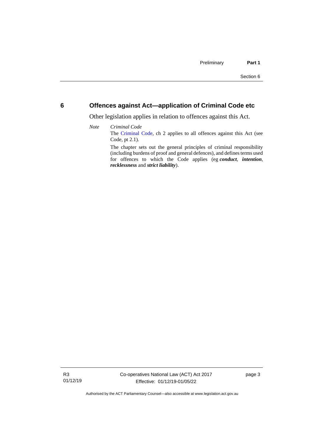### <span id="page-8-0"></span>**6 Offences against Act—application of Criminal Code etc**

Other legislation applies in relation to offences against this Act.

*Note Criminal Code* The [Criminal Code,](http://www.legislation.act.gov.au/a/2002-51) ch 2 applies to all offences against this Act (see Code, pt 2.1). The chapter sets out the general principles of criminal responsibility (including burdens of proof and general defences), and defines terms used for offences to which the Code applies (eg *conduct*, *intention*, *recklessness* and *strict liability*).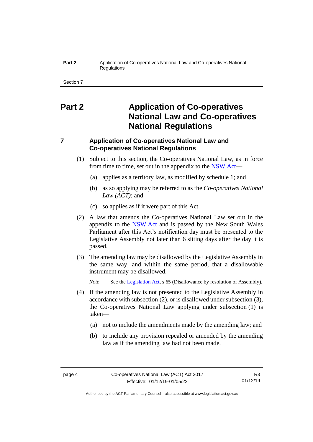#### **Part 2** Application of Co-operatives National Law and Co-operatives National **Requlations**

Section 7

# <span id="page-9-0"></span>**Part 2 Application of Co-operatives National Law and Co-operatives National Regulations**

# <span id="page-9-1"></span>**7 Application of Co-operatives National Law and Co-operatives National Regulations**

- (1) Subject to this section, the Co-operatives National Law, as in force from time to time, set out in the appendix to the [NSW](http://www.legislation.nsw.gov.au/#/view/act/2012/29) Act—
	- (a) applies as a territory law, as modified by schedule 1; and
	- (b) as so applying may be referred to as the *Co-operatives National Law (ACT)*; and
	- (c) so applies as if it were part of this Act.
- (2) A law that amends the Co-operatives National Law set out in the appendix to the [NSW](http://www.legislation.nsw.gov.au/#/view/act/2012/29) Act and is passed by the New South Wales Parliament after this Act's notification day must be presented to the Legislative Assembly not later than 6 sitting days after the day it is passed.
- (3) The amending law may be disallowed by the Legislative Assembly in the same way, and within the same period, that a disallowable instrument may be disallowed.

*Note* See th[e Legislation Act,](http://www.legislation.act.gov.au/a/2001-14) s 65 (Disallowance by resolution of Assembly).

- (4) If the amending law is not presented to the Legislative Assembly in accordance with subsection (2), or is disallowed under subsection (3), the Co-operatives National Law applying under subsection (1) is taken—
	- (a) not to include the amendments made by the amending law; and
	- (b) to include any provision repealed or amended by the amending law as if the amending law had not been made.

Authorised by the ACT Parliamentary Counsel—also accessible at www.legislation.act.gov.au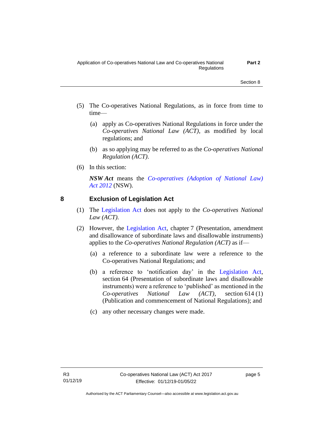- (5) The Co-operatives National Regulations, as in force from time to time—
	- (a) apply as Co-operatives National Regulations in force under the *Co-operatives National Law (ACT)*, as modified by local regulations; and
	- (b) as so applying may be referred to as the *Co-operatives National Regulation (ACT)*.
- (6) In this section:

*NSW Act* means the *[Co-operatives \(Adoption of National Law\)](http://www.legislation.nsw.gov.au/#/view/act/2012/29)  Act [2012](http://www.legislation.nsw.gov.au/#/view/act/2012/29)* (NSW).

# <span id="page-10-0"></span>**8 Exclusion of Legislation Act**

- (1) The [Legislation Act](http://www.legislation.act.gov.au/a/2001-14) does not apply to the *Co-operatives National Law (ACT).*
- (2) However, the [Legislation Act,](http://www.legislation.act.gov.au/a/2001-14) chapter 7 (Presentation, amendment and disallowance of subordinate laws and disallowable instruments) applies to the *Co-operatives National Regulation (ACT)* as if—
	- (a) a reference to a subordinate law were a reference to the Co-operatives National Regulations; and
	- (b) a reference to 'notification day' in the [Legislation Act,](http://www.legislation.act.gov.au/a/2001-14) section 64 (Presentation of subordinate laws and disallowable instruments) were a reference to 'published' as mentioned in the *Co-operatives National Law (ACT)*, section 614 (1) (Publication and commencement of National Regulations); and
	- (c) any other necessary changes were made.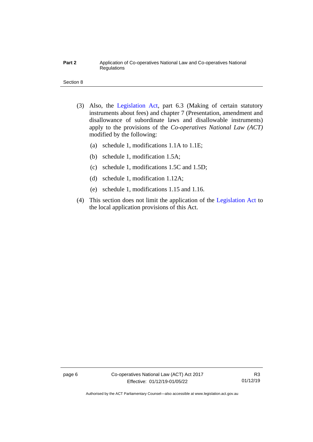#### **Part 2** Application of Co-operatives National Law and Co-operatives National Regulations

#### Section 8

- (3) Also, the [Legislation Act,](http://www.legislation.act.gov.au/a/2001-14) part 6.3 (Making of certain statutory instruments about fees) and chapter 7 (Presentation, amendment and disallowance of subordinate laws and disallowable instruments) apply to the provisions of the *Co-operatives National Law (ACT)* modified by the following:
	- (a) schedule 1, modifications 1.1A to 1.1E;
	- (b) schedule 1, modification 1.5A;
	- (c) schedule 1, modifications 1.5C and 1.5D;
	- (d) schedule 1, modification 1.12A;
	- (e) schedule 1, modifications 1.15 and 1.16.
- (4) This section does not limit the application of the [Legislation Act](http://www.legislation.act.gov.au/a/2001-14) to the local application provisions of this Act.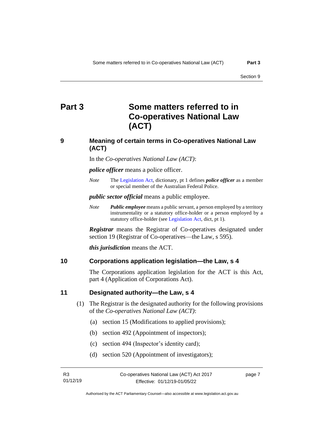# <span id="page-12-0"></span>**Part 3 Some matters referred to in Co-operatives National Law (ACT)**

# **9 Meaning of certain terms in Co-operatives National Law (ACT)**

In the *Co-operatives National Law (ACT)*:

*police officer* means a police officer.

*Note* The [Legislation Act,](http://www.legislation.act.gov.au/a/2001-14) dictionary, pt 1 defines *police officer* as a member or special member of the Australian Federal Police.

*public sector official* means a public employee.

*Note Public employee* means a public servant, a person employed by a territory instrumentality or a statutory office-holder or a person employed by a statutory office-holder (see [Legislation Act,](http://www.legislation.act.gov.au/a/2001-14) dict, pt 1).

*Registrar* means the Registrar of Co-operatives designated under section 19 (Registrar of Co-operatives—the Law, s 595).

*this jurisdiction* means the ACT.

#### <span id="page-12-2"></span>**10 Corporations application legislation—the Law, s 4**

The Corporations application legislation for the ACT is this Act, part 4 (Application of Corporations Act).

#### <span id="page-12-3"></span>**11 Designated authority—the Law, s 4**

- (1) The Registrar is the designated authority for the following provisions of the *Co-operatives National Law (ACT)*:
	- (a) section 15 (Modifications to applied provisions);
	- (b) section 492 (Appointment of inspectors);
	- (c) section 494 (Inspector's identity card);
	- (d) section 520 (Appointment of investigators);

page 7

<span id="page-12-1"></span>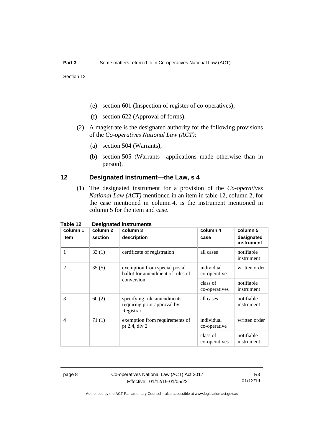Section 12

- (e) section 601 (Inspection of register of co-operatives);
- (f) section 622 (Approval of forms).
- (2) A magistrate is the designated authority for the following provisions of the *Co-operatives National Law (ACT)*:
	- (a) section 504 (Warrants);
	- (b) section 505 (Warrants—applications made otherwise than in person).

#### <span id="page-13-0"></span>**12 Designated instrument—the Law, s 4**

(1) The designated instrument for a provision of the *Co-operatives National Law (ACT)* mentioned in an item in table 12, column 2, for the case mentioned in column 4, is the instrument mentioned in column 5 for the item and case.

| column 1       | column 2 | Designatea mstraments<br>column 3                                               | column 4                   | column 5                 |
|----------------|----------|---------------------------------------------------------------------------------|----------------------------|--------------------------|
| item           | section  | description                                                                     | case                       | designated<br>instrument |
| 1              | 33(1)    | certificate of registration                                                     | all cases                  | notifiable<br>instrument |
| $\overline{2}$ | 35(5)    | exemption from special postal<br>ballot for amendment of rules of<br>conversion | individual<br>co-operative | written order            |
|                |          |                                                                                 | class of<br>co-operatives  | notifiable<br>instrument |
| 3              | 60(2)    | specifying rule amendments<br>requiring prior approval by<br>Registrar          | all cases                  | notifiable<br>instrument |
| $\overline{4}$ | 71(1)    | exemption from requirements of<br>pt 2.4, div 2                                 | individual<br>co-operative | written order            |
|                |          |                                                                                 | class of<br>co-operatives  | notifiable<br>instrument |

# **Table 12 Designated instruments**

page 8 Co-operatives National Law (ACT) Act 2017 Effective: 01/12/19-01/05/22

R3 01/12/19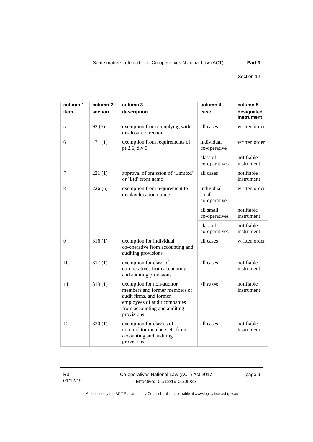#### Section 12

| column 1 | column <sub>2</sub> | column 3                                                                                                                                                            | column 4                            | column 5                 |
|----------|---------------------|---------------------------------------------------------------------------------------------------------------------------------------------------------------------|-------------------------------------|--------------------------|
| item     | section             | description                                                                                                                                                         | case                                | designated<br>instrument |
| 5        | 92(6)               | exemption from complying with<br>all cases<br>disclosure direction                                                                                                  |                                     | written order            |
| 6        | 171(1)              | exemption from requirements of<br>pt 2.6, div 5                                                                                                                     | individual<br>co-operative          | written order            |
|          |                     |                                                                                                                                                                     | class of<br>co-operatives           | notifiable<br>instrument |
| 7        | 221(1)              | approval of omission of 'Limited'<br>or 'Ltd' from name                                                                                                             | all cases                           | notifiable<br>instrument |
| 8        | 226(6)              | exemption from requirement to<br>display location notice                                                                                                            | individual<br>small<br>co-operative | written order            |
|          |                     |                                                                                                                                                                     | all small<br>co-operatives          | notifiable<br>instrument |
|          |                     |                                                                                                                                                                     | class of<br>co-operatives           | notifiable<br>instrument |
| 9        | 316(1)              | exemption for individual<br>co-operative from accounting and<br>auditing provisions                                                                                 | all cases                           | written order            |
| 10       | 317(1)              | exemption for class of<br>co-operatives from accounting<br>and auditing provisions                                                                                  | all cases                           | notifiable<br>instrument |
| 11       | 319(1)              | exemption for non-auditor<br>members and former members of<br>audit firms, and former<br>employees of audit companies<br>from accounting and auditing<br>provisions | all cases                           | notifiable<br>instrument |
| 12       | 320(1)              | exemption for classes of<br>non-auditor members etc from<br>accounting and auditing<br>provisions                                                                   | all cases                           | notifiable<br>instrument |

R3 01/12/19 Co-operatives National Law (ACT) Act 2017 Effective: 01/12/19-01/05/22

page 9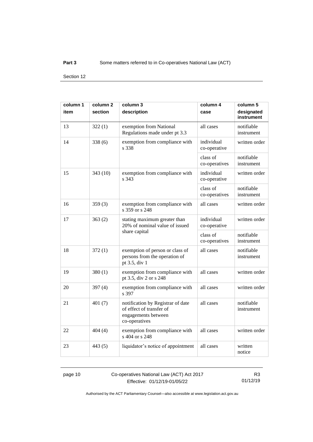#### **Part 3** Some matters referred to in Co-operatives National Law (ACT)

Section 12

| column 1 | column <sub>2</sub> | column 3<br>column 4                                                                                  |                            | column 5                 |
|----------|---------------------|-------------------------------------------------------------------------------------------------------|----------------------------|--------------------------|
| item     | section             | description                                                                                           | case                       | designated<br>instrument |
| 13       | 322(1)              | exemption from National<br>Regulations made under pt 3.3                                              | all cases                  | notifiable<br>instrument |
| 14       | 338(6)              | exemption from compliance with<br>s 338                                                               | individual<br>co-operative | written order            |
|          |                     |                                                                                                       | class of<br>co-operatives  | notifiable<br>instrument |
| 15       | 343(10)             | exemption from compliance with<br>s 343                                                               | individual<br>co-operative | written order            |
|          |                     |                                                                                                       | class of<br>co-operatives  | notifiable<br>instrument |
| 16       | 359(3)              | exemption from compliance with<br>s 359 or s 248                                                      | all cases                  | written order            |
| 17       | 363(2)              | stating maximum greater than<br>20% of nominal value of issued                                        | individual<br>co-operative | written order            |
|          |                     | share capital                                                                                         | class of<br>co-operatives  | notifiable<br>instrument |
| 18       | 372(1)              | exemption of person or class of<br>persons from the operation of<br>pt 3.5, div 1                     | all cases                  | notifiable<br>instrument |
| 19       | 380(1)              | exemption from compliance with<br>pt 3.5, div 2 or s 248                                              | all cases                  | written order            |
| 20       | 397 $(4)$           | exemption from compliance with<br>s 397                                                               | all cases                  | written order            |
| 21       | 401(7)              | notification by Registrar of date<br>of effect of transfer of<br>engagements between<br>co-operatives | all cases                  | notifiable<br>instrument |
| 22       | 404(4)              | exemption from compliance with<br>s 404 or s 248                                                      | all cases                  | written order            |
| 23       | 443 (5)             | liquidator's notice of appointment                                                                    | all cases                  | written<br>notice        |

page 10 Co-operatives National Law (ACT) Act 2017 Effective: 01/12/19-01/05/22

R3 01/12/19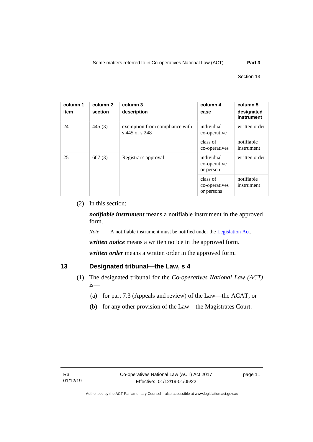| column 1<br>item | column 2<br>section | column 3<br>description                          | column 4<br>case                        | column 5<br>designated<br>instrument |
|------------------|---------------------|--------------------------------------------------|-----------------------------------------|--------------------------------------|
| 24               | 445(3)              | exemption from compliance with<br>s 445 or s 248 | individual<br>co-operative              | written order                        |
|                  |                     |                                                  | class of<br>co-operatives               | notifiable<br>instrument             |
| 25               | 607(3)              | Registrar's approval                             | individual<br>co-operative<br>or person | written order                        |
|                  |                     |                                                  | class of<br>co-operatives<br>or persons | notifiable<br>instrument             |

#### (2) In this section:

*notifiable instrument* means a notifiable instrument in the approved form.

*Note* A notifiable instrument must be notified under the [Legislation Act.](http://www.legislation.act.gov.au/a/2001-14)

*written notice* means a written notice in the approved form.

*written order* means a written order in the approved form.

# <span id="page-16-0"></span>**13 Designated tribunal—the Law, s 4**

- (1) The designated tribunal for the *Co-operatives National Law (ACT)* is—
	- (a) for part 7.3 (Appeals and review) of the Law—the ACAT; or
	- (b) for any other provision of the Law—the Magistrates Court.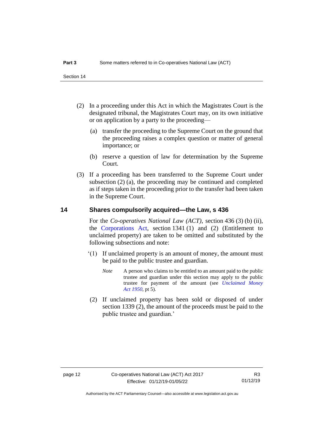- (2) In a proceeding under this Act in which the Magistrates Court is the designated tribunal, the Magistrates Court may, on its own initiative or on application by a party to the proceeding—
	- (a) transfer the proceeding to the Supreme Court on the ground that the proceeding raises a complex question or matter of general importance; or
	- (b) reserve a question of law for determination by the Supreme Court.
- (3) If a proceeding has been transferred to the Supreme Court under subsection (2) (a), the proceeding may be continued and completed as if steps taken in the proceeding prior to the transfer had been taken in the Supreme Court.

# <span id="page-17-0"></span>**14 Shares compulsorily acquired—the Law, s 436**

For the *Co-operatives National Law (ACT)*, section 436 (3) (b) (ii), the [Corporations Act,](http://www.comlaw.gov.au/Series/C2004A00818) section 1341 (1) and (2) (Entitlement to unclaimed property) are taken to be omitted and substituted by the following subsections and note:

- '(1) If unclaimed property is an amount of money, the amount must be paid to the public trustee and guardian.
	- *Note* A person who claims to be entitled to an amount paid to the public trustee and guardian under this section may apply to the public trustee for payment of the amount (see *[Unclaimed Money](http://www.legislation.act.gov.au/a/1950-15)  Act [1950](http://www.legislation.act.gov.au/a/1950-15)*, pt 5).
- (2) If unclaimed property has been sold or disposed of under section 1339 (2), the amount of the proceeds must be paid to the public trustee and guardian.'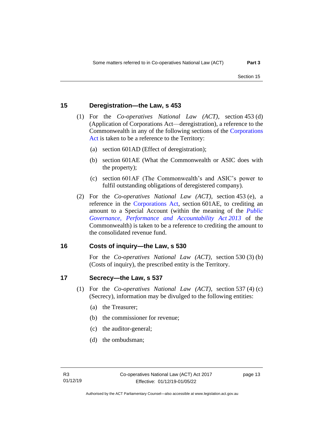#### <span id="page-18-0"></span>**15 Deregistration—the Law, s 453**

- (1) For the *Co-operatives National Law (ACT)*, section 453 (d) (Application of Corporations Act—deregistration), a reference to the Commonwealth in any of the following sections of the [Corporations](http://www.comlaw.gov.au/Series/C2004A00818)  [Act](http://www.comlaw.gov.au/Series/C2004A00818) is taken to be a reference to the Territory:
	- (a) section 601AD (Effect of deregistration);
	- (b) section 601AE (What the Commonwealth or ASIC does with the property);
	- (c) section 601AF (The Commonwealth's and ASIC's power to fulfil outstanding obligations of deregistered company).
- (2) For the *Co-operatives National Law (ACT)*, section 453 (e), a reference in the [Corporations Act,](http://www.comlaw.gov.au/Series/C2004A00818) section 601AE, to crediting an amount to a Special Account (within the meaning of the *[Public](https://www.legislation.gov.au/Series/C2013A00123)  [Governance, Performance and Accountability Act](https://www.legislation.gov.au/Series/C2013A00123) 2013* of the Commonwealth) is taken to be a reference to crediting the amount to the consolidated revenue fund.

#### <span id="page-18-1"></span>**16 Costs of inquiry—the Law, s 530**

For the *Co-operatives National Law (ACT)*, section 530 (3) (b) (Costs of inquiry), the prescribed entity is the Territory.

#### <span id="page-18-2"></span>**17 Secrecy—the Law, s 537**

- (1) For the *Co-operatives National Law (ACT)*, section 537 (4) (c) (Secrecy), information may be divulged to the following entities:
	- (a) the Treasurer;
	- (b) the commissioner for revenue;
	- (c) the auditor-general;
	- (d) the ombudsman;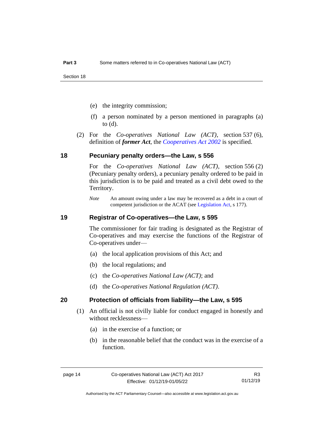- (e) the integrity commission;
- (f) a person nominated by a person mentioned in paragraphs (a) to (d).
- (2) For the *Co-operatives National Law (ACT)*, section 537 (6), definition of *former Act*, the *[Cooperatives Act](http://www.legislation.act.gov.au/a/2002-45) 2002* is specified.

#### <span id="page-19-0"></span>**18 Pecuniary penalty orders—the Law, s 556**

For the *Co-operatives National Law (ACT)*, section 556 (2) (Pecuniary penalty orders), a pecuniary penalty ordered to be paid in this jurisdiction is to be paid and treated as a civil debt owed to the Territory.

### <span id="page-19-1"></span>**19 Registrar of Co-operatives—the Law, s 595**

The commissioner for fair trading is designated as the Registrar of Co-operatives and may exercise the functions of the Registrar of Co-operatives under—

- (a) the local application provisions of this Act; and
- (b) the local regulations; and
- (c) the *Co-operatives National Law (ACT)*; and
- (d) the *Co-operatives National Regulation (ACT)*.

#### <span id="page-19-2"></span>**20 Protection of officials from liability—the Law, s 595**

- (1) An official is not civilly liable for conduct engaged in honestly and without recklessness—
	- (a) in the exercise of a function; or
	- (b) in the reasonable belief that the conduct was in the exercise of a function.

*Note* An amount owing under a law may be recovered as a debt in a court of competent jurisdiction or the ACAT (see [Legislation Act,](http://www.legislation.act.gov.au/a/2001-14) s 177).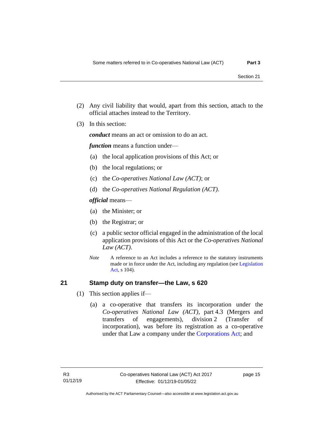- (2) Any civil liability that would, apart from this section, attach to the official attaches instead to the Territory.
- (3) In this section:

*conduct* means an act or omission to do an act.

*function* means a function under—

- (a) the local application provisions of this Act; or
- (b) the local regulations; or
- (c) the *Co-operatives National Law (ACT)*; or
- (d) the *Co-operatives National Regulation (ACT)*.

*official* means—

- (a) the Minister; or
- (b) the Registrar; or
- (c) a public sector official engaged in the administration of the local application provisions of this Act or the *Co-operatives National Law (ACT)*.
- *Note* A reference to an Act includes a reference to the statutory instruments made or in force under the Act, including any regulation (se[e Legislation](http://www.legislation.act.gov.au/a/2001-14)  [Act,](http://www.legislation.act.gov.au/a/2001-14) s 104).

### <span id="page-20-0"></span>**21 Stamp duty on transfer—the Law, s 620**

- (1) This section applies if—
	- (a) a co-operative that transfers its incorporation under the *Co-operatives National Law (ACT)*, part 4.3 (Mergers and transfers of engagements), division 2 (Transfer of incorporation), was before its registration as a co-operative under that Law a company under the [Corporations Act;](http://www.comlaw.gov.au/Series/C2004A00818) and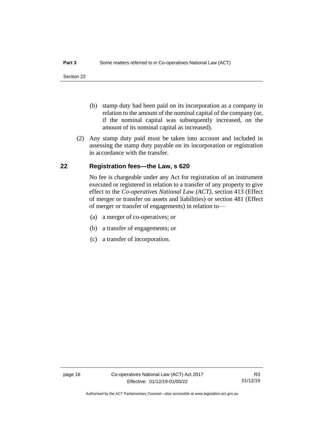- (b) stamp duty had been paid on its incorporation as a company in relation to the amount of the nominal capital of the company (or, if the nominal capital was subsequently increased, on the amount of its nominal capital as increased).
- (2) Any stamp duty paid must be taken into account and included in assessing the stamp duty payable on its incorporation or registration in accordance with the transfer.

# <span id="page-21-0"></span>**22 Registration fees—the Law, s 620**

No fee is chargeable under any Act for registration of an instrument executed or registered in relation to a transfer of any property to give effect to the *Co-operatives National Law (ACT)*, section 413 (Effect of merger or transfer on assets and liabilities) or section 481 (Effect of merger or transfer of engagements) in relation to—

- (a) a merger of co-operatives; or
- (b) a transfer of engagements; or
- (c) a transfer of incorporation.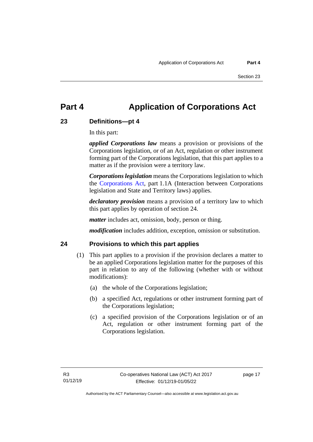# <span id="page-22-0"></span>**Part 4 Application of Corporations Act**

# <span id="page-22-1"></span>**23 Definitions—pt 4**

In this part:

*applied Corporations law* means a provision or provisions of the Corporations legislation, or of an Act, regulation or other instrument forming part of the Corporations legislation, that this part applies to a matter as if the provision were a territory law.

*Corporations legislation* means the Corporations legislation to which the [Corporations Act,](http://www.comlaw.gov.au/Series/C2004A00818) part 1.1A (Interaction between Corporations legislation and State and Territory laws) applies.

*declaratory provision* means a provision of a territory law to which this part applies by operation of section 24.

*matter* includes act, omission, body, person or thing.

*modification* includes addition, exception, omission or substitution.

### <span id="page-22-2"></span>**24 Provisions to which this part applies**

- (1) This part applies to a provision if the provision declares a matter to be an applied Corporations legislation matter for the purposes of this part in relation to any of the following (whether with or without modifications):
	- (a) the whole of the Corporations legislation;
	- (b) a specified Act, regulations or other instrument forming part of the Corporations legislation;
	- (c) a specified provision of the Corporations legislation or of an Act, regulation or other instrument forming part of the Corporations legislation.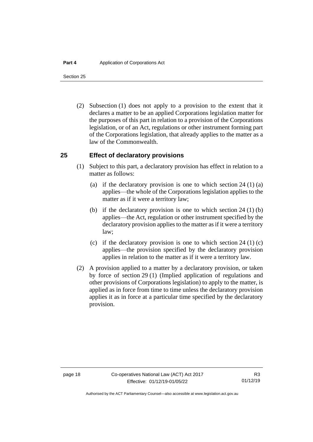Section 25

(2) Subsection (1) does not apply to a provision to the extent that it declares a matter to be an applied Corporations legislation matter for the purposes of this part in relation to a provision of the Corporations legislation, or of an Act, regulations or other instrument forming part of the Corporations legislation, that already applies to the matter as a law of the Commonwealth.

# <span id="page-23-0"></span>**25 Effect of declaratory provisions**

- (1) Subject to this part, a declaratory provision has effect in relation to a matter as follows:
	- (a) if the declaratory provision is one to which section  $24 \left( 1 \right)$  (a) applies—the whole of the Corporations legislation applies to the matter as if it were a territory law;
	- (b) if the declaratory provision is one to which section 24 (1) (b) applies—the Act, regulation or other instrument specified by the declaratory provision applies to the matter as if it were a territory law;
	- (c) if the declaratory provision is one to which section  $24 \left( 1 \right)$  (c) applies—the provision specified by the declaratory provision applies in relation to the matter as if it were a territory law.
- (2) A provision applied to a matter by a declaratory provision, or taken by force of section 29 (1) (Implied application of regulations and other provisions of Corporations legislation) to apply to the matter, is applied as in force from time to time unless the declaratory provision applies it as in force at a particular time specified by the declaratory provision.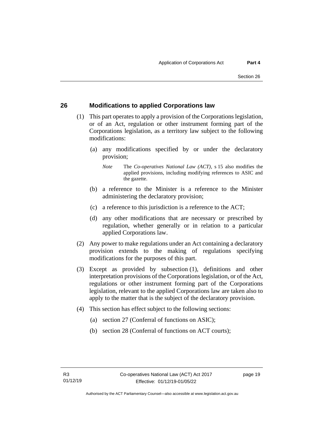# <span id="page-24-0"></span>**26 Modifications to applied Corporations law**

- (1) This part operates to apply a provision of the Corporations legislation, or of an Act, regulation or other instrument forming part of the Corporations legislation, as a territory law subject to the following modifications:
	- (a) any modifications specified by or under the declaratory provision;
		- *Note* The *Co-operatives National Law (ACT)*, s 15 also modifies the applied provisions, including modifying references to ASIC and the gazette.
	- (b) a reference to the Minister is a reference to the Minister administering the declaratory provision;
	- (c) a reference to this jurisdiction is a reference to the ACT;
	- (d) any other modifications that are necessary or prescribed by regulation, whether generally or in relation to a particular applied Corporations law.
- (2) Any power to make regulations under an Act containing a declaratory provision extends to the making of regulations specifying modifications for the purposes of this part.
- (3) Except as provided by subsection (1), definitions and other interpretation provisions of the Corporations legislation, or of the Act, regulations or other instrument forming part of the Corporations legislation, relevant to the applied Corporations law are taken also to apply to the matter that is the subject of the declaratory provision.
- (4) This section has effect subject to the following sections:
	- (a) section 27 (Conferral of functions on ASIC);
	- (b) section 28 (Conferral of functions on ACT courts);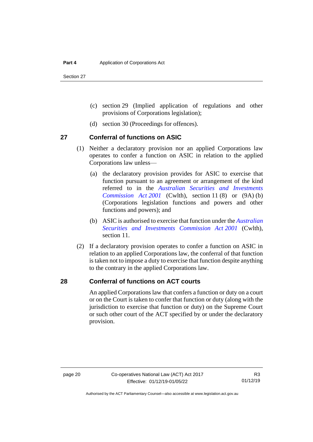Section 27

- (c) section 29 (Implied application of regulations and other provisions of Corporations legislation);
- (d) section 30 (Proceedings for offences).

### <span id="page-25-0"></span>**27 Conferral of functions on ASIC**

- (1) Neither a declaratory provision nor an applied Corporations law operates to confer a function on ASIC in relation to the applied Corporations law unless—
	- (a) the declaratory provision provides for ASIC to exercise that function pursuant to an agreement or arrangement of the kind referred to in the *[Australian Securities and Investments](https://www.legislation.gov.au/Series/C2004A00819)  [Commission Act](https://www.legislation.gov.au/Series/C2004A00819) 2001* (Cwlth), section 11 (8) or (9A) (b) (Corporations legislation functions and powers and other functions and powers); and
	- (b) ASIC is authorised to exercise that function under the *[Australian](https://www.legislation.gov.au/Series/C2004A00819)  [Securities and Investments Commission Act](https://www.legislation.gov.au/Series/C2004A00819) 2001* (Cwlth), section 11.
- (2) If a declaratory provision operates to confer a function on ASIC in relation to an applied Corporations law, the conferral of that function is taken not to impose a duty to exercise that function despite anything to the contrary in the applied Corporations law.

### <span id="page-25-1"></span>**28 Conferral of functions on ACT courts**

An applied Corporations law that confers a function or duty on a court or on the Court is taken to confer that function or duty (along with the jurisdiction to exercise that function or duty) on the Supreme Court or such other court of the ACT specified by or under the declaratory provision.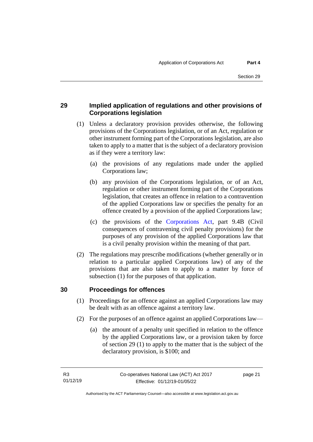# <span id="page-26-0"></span>**29 Implied application of regulations and other provisions of Corporations legislation**

- (1) Unless a declaratory provision provides otherwise, the following provisions of the Corporations legislation, or of an Act, regulation or other instrument forming part of the Corporations legislation, are also taken to apply to a matter that is the subject of a declaratory provision as if they were a territory law:
	- (a) the provisions of any regulations made under the applied Corporations law;
	- (b) any provision of the Corporations legislation, or of an Act, regulation or other instrument forming part of the Corporations legislation, that creates an offence in relation to a contravention of the applied Corporations law or specifies the penalty for an offence created by a provision of the applied Corporations law;
	- (c) the provisions of the [Corporations Act,](http://www.comlaw.gov.au/Series/C2004A00818) part 9.4B (Civil consequences of contravening civil penalty provisions) for the purposes of any provision of the applied Corporations law that is a civil penalty provision within the meaning of that part.
- (2) The regulations may prescribe modifications (whether generally or in relation to a particular applied Corporations law) of any of the provisions that are also taken to apply to a matter by force of subsection (1) for the purposes of that application.

# <span id="page-26-1"></span>**30 Proceedings for offences**

- (1) Proceedings for an offence against an applied Corporations law may be dealt with as an offence against a territory law.
- (2) For the purposes of an offence against an applied Corporations law—
	- (a) the amount of a penalty unit specified in relation to the offence by the applied Corporations law, or a provision taken by force of section 29 (1) to apply to the matter that is the subject of the declaratory provision, is \$100; and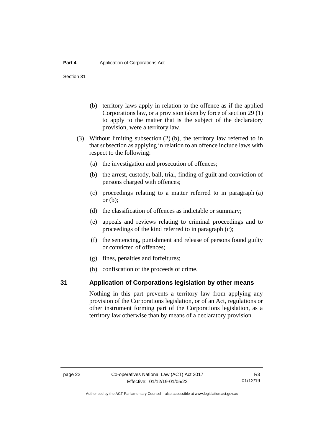Section 31

- (b) territory laws apply in relation to the offence as if the applied Corporations law, or a provision taken by force of section 29 (1) to apply to the matter that is the subject of the declaratory provision, were a territory law.
- (3) Without limiting subsection (2) (b), the territory law referred to in that subsection as applying in relation to an offence include laws with respect to the following:
	- (a) the investigation and prosecution of offences;
	- (b) the arrest, custody, bail, trial, finding of guilt and conviction of persons charged with offences;
	- (c) proceedings relating to a matter referred to in paragraph (a) or  $(b)$ ;
	- (d) the classification of offences as indictable or summary;
	- (e) appeals and reviews relating to criminal proceedings and to proceedings of the kind referred to in paragraph (c);
	- (f) the sentencing, punishment and release of persons found guilty or convicted of offences;
	- (g) fines, penalties and forfeitures;
	- (h) confiscation of the proceeds of crime.

#### <span id="page-27-0"></span>**31 Application of Corporations legislation by other means**

Nothing in this part prevents a territory law from applying any provision of the Corporations legislation, or of an Act, regulations or other instrument forming part of the Corporations legislation, as a territory law otherwise than by means of a declaratory provision.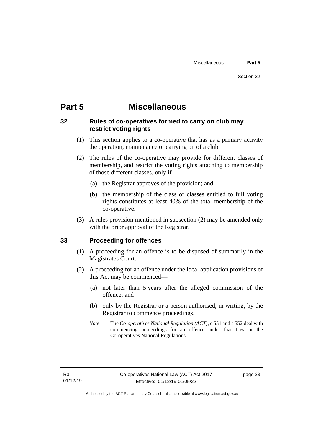# <span id="page-28-0"></span>**Part 5 Miscellaneous**

# <span id="page-28-1"></span>**32 Rules of co-operatives formed to carry on club may restrict voting rights**

- (1) This section applies to a co-operative that has as a primary activity the operation, maintenance or carrying on of a club.
- (2) The rules of the co-operative may provide for different classes of membership, and restrict the voting rights attaching to membership of those different classes, only if—
	- (a) the Registrar approves of the provision; and
	- (b) the membership of the class or classes entitled to full voting rights constitutes at least 40% of the total membership of the co-operative.
- (3) A rules provision mentioned in subsection (2) may be amended only with the prior approval of the Registrar.

### <span id="page-28-2"></span>**33 Proceeding for offences**

- (1) A proceeding for an offence is to be disposed of summarily in the Magistrates Court.
- (2) A proceeding for an offence under the local application provisions of this Act may be commenced—
	- (a) not later than 5 years after the alleged commission of the offence; and
	- (b) only by the Registrar or a person authorised, in writing, by the Registrar to commence proceedings.
	- *Note* The *Co-operatives National Regulation (ACT)*, s 551 and s 552 deal with commencing proceedings for an offence under that Law or the Co-operatives National Regulations.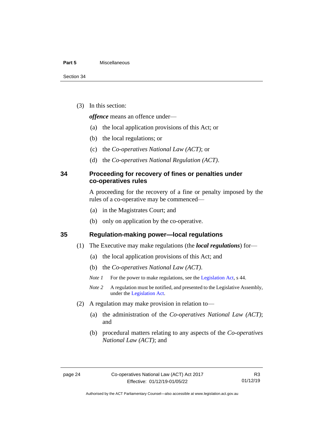#### **Part 5** Miscellaneous

(3) In this section:

*offence* means an offence under—

- (a) the local application provisions of this Act; or
- (b) the local regulations; or
- (c) the *Co-operatives National Law (ACT)*; or
- (d) the *Co-operatives National Regulation (ACT)*.

### <span id="page-29-0"></span>**34 Proceeding for recovery of fines or penalties under co-operatives rules**

A proceeding for the recovery of a fine or penalty imposed by the rules of a co-operative may be commenced—

- (a) in the Magistrates Court; and
- (b) only on application by the co-operative.

#### <span id="page-29-1"></span>**35 Regulation-making power—local regulations**

- (1) The Executive may make regulations (the *local regulations*) for—
	- (a) the local application provisions of this Act; and
	- (b) the *Co-operatives National Law (ACT)*.
	- *Note 1* For the power to make regulations, see the [Legislation Act,](http://www.legislation.act.gov.au/a/2001-14) s 44.
	- *Note* 2 A regulation must be notified, and presented to the Legislative Assembly, under the [Legislation Act.](http://www.legislation.act.gov.au/a/2001-14)
- (2) A regulation may make provision in relation to—
	- (a) the administration of the *Co-operatives National Law (ACT)*; and
	- (b) procedural matters relating to any aspects of the *Co-operatives National Law (ACT)*; and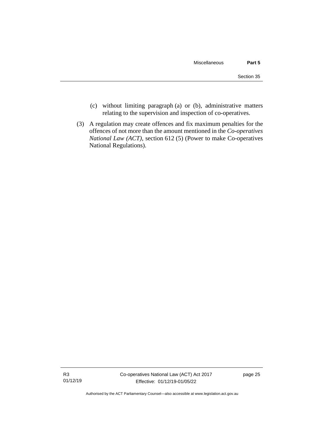- (c) without limiting paragraph (a) or (b), administrative matters relating to the supervision and inspection of co-operatives.
- (3) A regulation may create offences and fix maximum penalties for the offences of not more than the amount mentioned in the *Co-operatives National Law (ACT)*, section 612 (5) (Power to make Co-operatives National Regulations).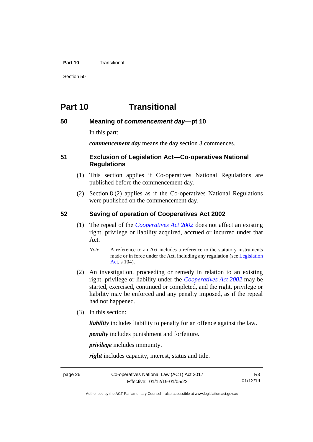#### **Part 10** Transitional

Section 50

# <span id="page-31-0"></span>**Part 10 Transitional**

#### <span id="page-31-1"></span>**50 Meaning of** *commencement day***—pt 10**

In this part:

*commencement day* means the day section 3 commences.

#### <span id="page-31-2"></span>**51 Exclusion of Legislation Act—Co-operatives National Regulations**

- (1) This section applies if Co-operatives National Regulations are published before the commencement day.
- (2) Section 8 (2) applies as if the Co-operatives National Regulations were published on the commencement day.

#### <span id="page-31-3"></span>**52 Saving of operation of Cooperatives Act 2002**

- (1) The repeal of the *[Cooperatives Act](http://www.legislation.act.gov.au/a/2002-45) 2002* does not affect an existing right, privilege or liability acquired, accrued or incurred under that Act.
	- *Note* A reference to an Act includes a reference to the statutory instruments made or in force under the Act, including any regulation (se[e Legislation](http://www.legislation.act.gov.au/a/2001-14)  [Act,](http://www.legislation.act.gov.au/a/2001-14) s 104).
- (2) An investigation, proceeding or remedy in relation to an existing right, privilege or liability under the *[Cooperatives Act](http://www.legislation.act.gov.au/a/2002-45) 2002* may be started, exercised, continued or completed, and the right, privilege or liability may be enforced and any penalty imposed, as if the repeal had not happened.
- (3) In this section:

*liability* includes liability to penalty for an offence against the law.

*penalty* includes punishment and forfeiture.

*privilege* includes immunity.

*right* includes capacity, interest, status and title.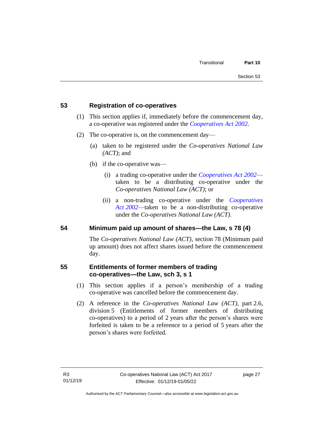# <span id="page-32-0"></span>**53 Registration of co-operatives**

- (1) This section applies if, immediately before the commencement day, a co-operative was registered under the *[Cooperatives Act](http://www.legislation.act.gov.au/a/2002-45) 2002*.
- (2) The co-operative is, on the commencement day—
	- (a) taken to be registered under the *Co-operatives National Law (ACT)*; and
	- (b) if the co-operative was—
		- (i) a trading co-operative under the *[Cooperatives Act](http://www.legislation.act.gov.au/a/2002-45) 2002* taken to be a distributing co-operative under the *Co-operatives National Law (ACT)*; or
		- (ii) a non-trading co-operative under the *[Cooperatives](http://www.legislation.act.gov.au/a/2002-45)  Act [2002](http://www.legislation.act.gov.au/a/2002-45)*—taken to be a non-distributing co-operative under the *Co-operatives National Law (ACT)*.

### <span id="page-32-1"></span>**54 Minimum paid up amount of shares—the Law, s 78 (4)**

The *Co-operatives National Law (ACT)*, section 78 (Minimum paid up amount) does not affect shares issued before the commencement day.

# <span id="page-32-2"></span>**55 Entitlements of former members of trading co-operatives—the Law, sch 3, s 1**

- (1) This section applies if a person's membership of a trading co-operative was cancelled before the commencement day.
- (2) A reference in the *Co-operatives National Law (ACT)*, part 2.6, division 5 (Entitlements of former members of distributing co-operatives) to a period of 2 years after the person's shares were forfeited is taken to be a reference to a period of 5 years after the person's shares were forfeited.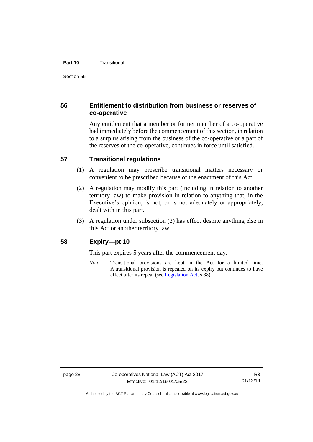#### **Part 10** Transitional

# <span id="page-33-0"></span>**56 Entitlement to distribution from business or reserves of co-operative**

Any entitlement that a member or former member of a co-operative had immediately before the commencement of this section, in relation to a surplus arising from the business of the co-operative or a part of the reserves of the co-operative, continues in force until satisfied.

# <span id="page-33-1"></span>**57 Transitional regulations**

- (1) A regulation may prescribe transitional matters necessary or convenient to be prescribed because of the enactment of this Act.
- (2) A regulation may modify this part (including in relation to another territory law) to make provision in relation to anything that, in the Executive's opinion, is not, or is not adequately or appropriately, dealt with in this part.
- (3) A regulation under subsection (2) has effect despite anything else in this Act or another territory law.

### <span id="page-33-2"></span>**58 Expiry—pt 10**

This part expires 5 years after the commencement day.

*Note* Transitional provisions are kept in the Act for a limited time. A transitional provision is repealed on its expiry but continues to have effect after its repeal (se[e Legislation Act,](http://www.legislation.act.gov.au/a/2001-14) s 88).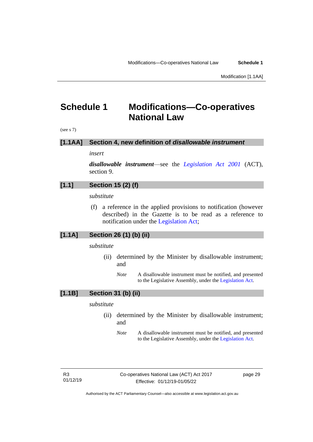Modification [1.1AA]

# <span id="page-34-0"></span>**Schedule 1 Modifications—Co-operatives National Law**

(see s 7)

#### **[1.1AA] Section 4, new definition of** *disallowable instrument*

*insert*

*disallowable instrument*—see the *[Legislation Act 2001](http://www.legislation.act.gov.au/a/2001-14)* (ACT), section 9.

# **[1.1] Section 15 (2) (f)**

*substitute*

(f) a reference in the applied provisions to notification (however described) in the Gazette is to be read as a reference to notification under the [Legislation Act;](http://www.legislation.act.gov.au/a/2001-14)

# **[1.1A] Section 26 (1) (b) (ii)**

*substitute*

- (ii) determined by the Minister by disallowable instrument; and
	- *Note* A disallowable instrument must be notified, and presented to the Legislative Assembly, under the [Legislation Act.](http://www.legislation.act.gov.au/a/2001-14)

#### **[1.1B] Section 31 (b) (ii)**

#### *substitute*

- (ii) determined by the Minister by disallowable instrument; and
	- *Note* A disallowable instrument must be notified, and presented to the Legislative Assembly, under the [Legislation Act.](http://www.legislation.act.gov.au/a/2001-14)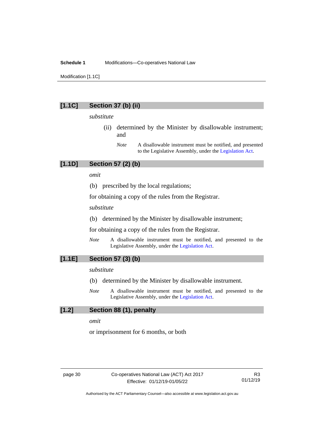#### **Schedule 1** Modifications—Co-operatives National Law

Modification [1.1C]

#### **[1.1C] Section 37 (b) (ii)**

#### *substitute*

- (ii) determined by the Minister by disallowable instrument; and
	- *Note* A disallowable instrument must be notified, and presented to the Legislative Assembly, under the [Legislation Act.](http://www.legislation.act.gov.au/a/2001-14)

# **[1.1D] Section 57 (2) (b)**

*omit*

(b) prescribed by the local regulations;

for obtaining a copy of the rules from the Registrar.

*substitute*

(b) determined by the Minister by disallowable instrument;

for obtaining a copy of the rules from the Registrar.

*Note* A disallowable instrument must be notified, and presented to the Legislative Assembly, under the [Legislation Act.](http://www.legislation.act.gov.au/a/2001-14)

# **[1.1E] Section 57 (3) (b)**

#### *substitute*

- (b) determined by the Minister by disallowable instrument.
- *Note* A disallowable instrument must be notified, and presented to the Legislative Assembly, under the [Legislation Act.](http://www.legislation.act.gov.au/a/2001-14)

#### **[1.2] Section 88 (1), penalty**

*omit*

or imprisonment for 6 months, or both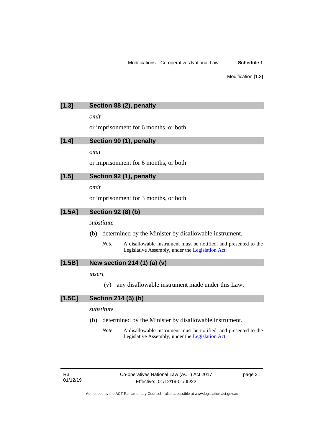| [1.3]    | Section 88 (2), penalty                                                                                                             |
|----------|-------------------------------------------------------------------------------------------------------------------------------------|
|          | omit                                                                                                                                |
|          | or imprisonment for 6 months, or both                                                                                               |
| [1.4]    | Section 90 (1), penalty                                                                                                             |
|          | omit                                                                                                                                |
|          | or imprisonment for 6 months, or both                                                                                               |
| [1.5]    | Section 92 (1), penalty                                                                                                             |
|          | omit                                                                                                                                |
|          | or imprisonment for 3 months, or both                                                                                               |
| $[1.5A]$ | <b>Section 92 (8) (b)</b>                                                                                                           |
|          | substitute                                                                                                                          |
|          | determined by the Minister by disallowable instrument.<br>(b)                                                                       |
|          | <b>Note</b><br>A disallowable instrument must be notified, and presented to the<br>Legislative Assembly, under the Legislation Act. |
| $[1.5B]$ | New section 214 (1) (a) (v)                                                                                                         |
|          | insert                                                                                                                              |
|          | any disallowable instrument made under this Law;<br>(v)                                                                             |
| $[1.5C]$ | Section 214 (5) (b)                                                                                                                 |
|          | substitute                                                                                                                          |
|          | determined by the Minister by disallowable instrument.<br>(b)                                                                       |
|          | <b>Note</b><br>A disallowable instrument must be notified, and presented to the<br>Legislative Assembly, under the Legislation Act. |

Authorised by the ACT Parliamentary Counsel—also accessible at www.legislation.act.gov.au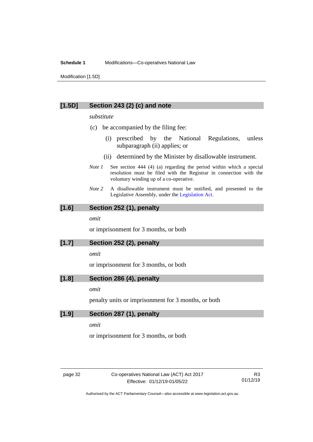#### **Schedule 1** Modifications—Co-operatives National Law

Modification [1.5D]

#### **[1.5D] Section 243 (2) (c) and note**

#### *substitute*

- (c) be accompanied by the filing fee:
	- (i) prescribed by the National Regulations, unless subparagraph (ii) applies; or
	- (ii) determined by the Minister by disallowable instrument.
- *Note 1* See section 444 (4) (a) regarding the period within which a special resolution must be filed with the Registrar in connection with the voluntary winding up of a co-operative.
- *Note 2* A disallowable instrument must be notified, and presented to the Legislative Assembly, under the [Legislation Act.](http://www.legislation.act.gov.au/a/2001-14)

#### **[1.6] Section 252 (1), penalty**

*omit*

or imprisonment for 3 months, or both

#### **[1.7] Section 252 (2), penalty**

*omit*

or imprisonment for 3 months, or both

#### **[1.8] Section 286 (4), penalty**

*omit*

penalty units or imprisonment for 3 months, or both

#### **[1.9] Section 287 (1), penalty**

*omit*

or imprisonment for 3 months, or both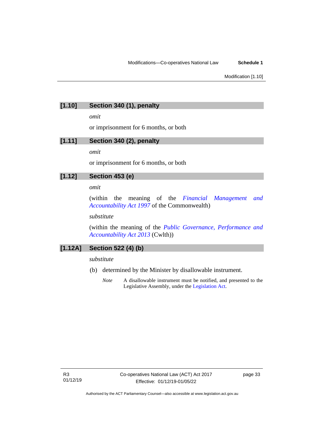# **[1.10] Section 340 (1), penalty**

*omit*

or imprisonment for 6 months, or both

# **[1.11] Section 340 (2), penalty**

*omit*

or imprisonment for 6 months, or both

# **[1.12] Section 453 (e)**

#### *omit*

(within the meaning of the *[Financial Management and](https://www.legislation.gov.au/Series/C2004A05251)  [Accountability Act 1997](https://www.legislation.gov.au/Series/C2004A05251)* of the Commonwealth)

#### *substitute*

(within the meaning of the *[Public Governance, Performance and](https://www.legislation.gov.au/Series/C2013A00123)  [Accountability Act](https://www.legislation.gov.au/Series/C2013A00123) 2013* (Cwlth))

### **[1.12A] Section 522 (4) (b)**

#### *substitute*

- (b) determined by the Minister by disallowable instrument.
	- *Note* A disallowable instrument must be notified, and presented to the Legislative Assembly, under the [Legislation Act.](http://www.legislation.act.gov.au/a/2001-14)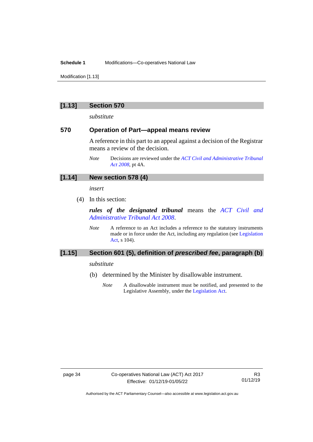#### **Schedule 1** Modifications—Co-operatives National Law

Modification [1.13]

#### **[1.13] Section 570**

*substitute*

#### **570 Operation of Part—appeal means review**

A reference in this part to an appeal against a decision of the Registrar means a review of the decision.

### **[1.14] New section 578 (4)**

*insert*

(4) In this section:

*rules of the designated tribunal* means the *[ACT Civil and](http://www.legislation.act.gov.au/a/2008-35)  [Administrative Tribunal Act](http://www.legislation.act.gov.au/a/2008-35) 2008*.

*Note* A reference to an Act includes a reference to the statutory instruments made or in force under the Act, including any regulation (se[e Legislation](http://www.legislation.act.gov.au/a/2001-14)  [Act,](http://www.legislation.act.gov.au/a/2001-14) s 104).

#### **[1.15] Section 601 (5), definition of** *prescribed fee***, paragraph (b)**

#### *substitute*

- (b) determined by the Minister by disallowable instrument.
	- *Note* A disallowable instrument must be notified, and presented to the Legislative Assembly, under the [Legislation Act.](http://www.legislation.act.gov.au/a/2001-14)

*Note* Decisions are reviewed under the *[ACT Civil and Administrative Tribunal](http://www.legislation.act.gov.au/a/2008-35)  Act [2008](http://www.legislation.act.gov.au/a/2008-35)*, pt 4A.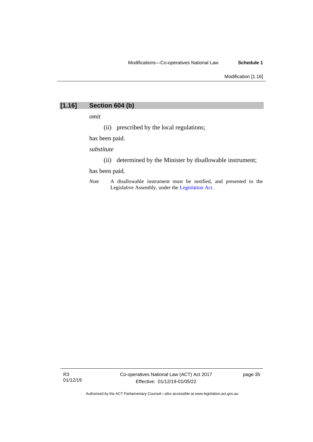# **[1.16] Section 604 (b)**

*omit*

(ii) prescribed by the local regulations;

has been paid.

*substitute*

(ii) determined by the Minister by disallowable instrument;

has been paid.

*Note* A disallowable instrument must be notified, and presented to the Legislative Assembly, under the [Legislation Act.](http://www.legislation.act.gov.au/a/2001-14)

R3 01/12/19 page 35

Authorised by the ACT Parliamentary Counsel—also accessible at www.legislation.act.gov.au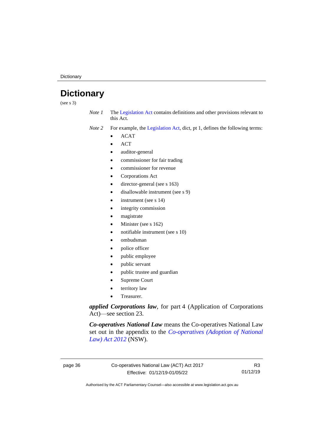**Dictionary** 

# <span id="page-41-0"></span>**Dictionary**

(see s 3)

- *Note 1* The [Legislation Act](http://www.legislation.act.gov.au/a/2001-14) contains definitions and other provisions relevant to this Act.
- *Note 2* For example, the [Legislation Act,](http://www.legislation.act.gov.au/a/2001-14) dict, pt 1, defines the following terms:
	- ACAT
	- ACT
	- auditor-general
	- commissioner for fair trading
	- commissioner for revenue
	- Corporations Act
	- director-general (see s 163)
	- disallowable instrument (see s 9)
	- instrument (see s 14)
	- integrity commission
	- magistrate
	- Minister (see s 162)
	- notifiable instrument (see s 10)
	- ombudsman
	- police officer
	- public employee
	- public servant
	- public trustee and guardian
	- Supreme Court
	- territory law
	- Treasurer.

*applied Corporations law*, for part 4 (Application of Corporations Act)—see section 23.

*Co-operatives National Law* means the Co-operatives National Law set out in the appendix to the *[Co-operatives \(Adoption of National](http://www.legislation.nsw.gov.au/#/view/act/2012/29)  [Law\) Act](http://www.legislation.nsw.gov.au/#/view/act/2012/29) 2012* (NSW).

R3 01/12/19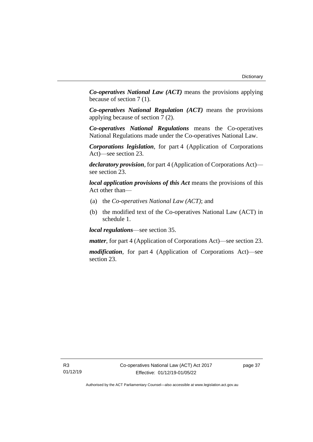*Co-operatives National Law (ACT)* means the provisions applying because of section 7 (1).

*Co-operatives National Regulation (ACT)* means the provisions applying because of section 7 (2).

*Co-operatives National Regulations* means the Co-operatives National Regulations made under the Co-operatives National Law.

*Corporations legislation*, for part 4 (Application of Corporations Act)—see section 23.

*declaratory provision*, for part 4 (Application of Corporations Act) see section 23.

*local application provisions of this Act* means the provisions of this Act other than—

- (a) the *Co-operatives National Law (ACT)*; and
- (b) the modified text of the Co-operatives National Law (ACT) in schedule 1.

*local regulations*—see section 35.

*matter*, for part 4 (Application of Corporations Act)—see section 23.

*modification*, for part 4 (Application of Corporations Act)—see section 23.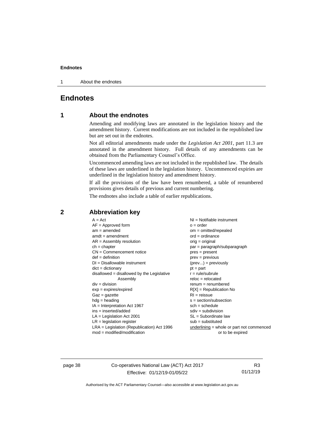1 About the endnotes

# <span id="page-43-1"></span><span id="page-43-0"></span>**Endnotes**

### **1 About the endnotes**

Amending and modifying laws are annotated in the legislation history and the amendment history. Current modifications are not included in the republished law but are set out in the endnotes.

Not all editorial amendments made under the *Legislation Act 2001*, part 11.3 are annotated in the amendment history. Full details of any amendments can be obtained from the Parliamentary Counsel's Office.

Uncommenced amending laws are not included in the republished law. The details of these laws are underlined in the legislation history. Uncommenced expiries are underlined in the legislation history and amendment history.

If all the provisions of the law have been renumbered, a table of renumbered provisions gives details of previous and current numbering.

The endnotes also include a table of earlier republications.

| $A = Act$                                    | $NI =$ Notifiable instrument                |
|----------------------------------------------|---------------------------------------------|
|                                              |                                             |
| $AF =$ Approved form                         | $o = order$                                 |
| $am = amended$                               | $om = omitted/repealed$                     |
| $amdt = amendment$                           | $ord = ordinance$                           |
| $AR = Assembly resolution$                   | $orig = original$                           |
| $ch = chapter$                               | par = paragraph/subparagraph                |
| $CN =$ Commencement notice                   | $pres = present$                            |
| $def = definition$                           | $prev = previous$                           |
| $DI = Disallowable instrument$               | $(\text{prev}) = \text{previously}$         |
| $dict = dictionary$                          | $pt = part$                                 |
| $disallowed = disallowed by the Legislative$ | $r = rule/subrule$                          |
| Assembly                                     | $reloc = relocated$                         |
| $div = division$                             | $renum = renumbered$                        |
| $exp = expires/expired$                      | $R[X]$ = Republication No                   |
| $Gaz = gazette$                              | $RI = reissue$                              |
| $h dq =$ heading                             | $s = section/subsection$                    |
|                                              |                                             |
| $IA = Interpretation Act 1967$               | $sch = schedule$                            |
| ins = inserted/added                         | $sdiv = subdivision$                        |
| $LA =$ Legislation Act 2001                  | $SL = Subordinate$ law                      |
| $LR =$ legislation register                  | $sub =$ substituted                         |
| $LRA =$ Legislation (Republication) Act 1996 | $underlining = whole or part not commenced$ |
| $mod = modified/modification$                | or to be expired                            |

#### <span id="page-43-2"></span>**2 Abbreviation key**

page 38 Co-operatives National Law (ACT) Act 2017 Effective: 01/12/19-01/05/22

R3 01/12/19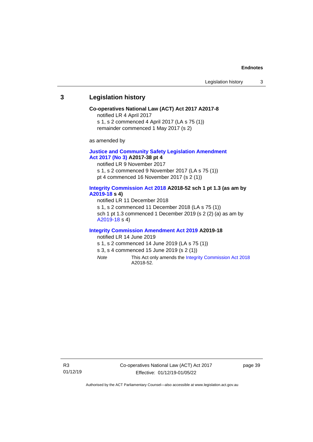#### <span id="page-44-0"></span>**3 Legislation history**

#### **Co-operatives National Law (ACT) Act 2017 A2017-8**

notified LR 4 April 2017

s 1, s 2 commenced 4 April 2017 (LA s 75 (1))

remainder commenced 1 May 2017 (s 2)

as amended by

#### **[Justice and Community Safety Legislation Amendment](http://www.legislation.act.gov.au/a/2017-38/default.asp)  Act [2017](http://www.legislation.act.gov.au/a/2017-38/default.asp) (No 3) A2017-38 pt 4**

notified LR 9 November 2017 s 1, s 2 commenced 9 November 2017 (LA s 75 (1)) pt 4 commenced 16 November 2017 (s 2 (1))

#### **[Integrity Commission Act 2018](http://www.legislation.act.gov.au/a/2018-52#history) A2018-52 sch 1 pt 1.3 (as am by [A2019-18](https://www.legislation.act.gov.au/a/2019-18) s 4)**

notified LR 11 December 2018 s 1, s 2 commenced 11 December 2018 (LA s 75 (1)) sch 1 pt 1.3 commenced 1 December 2019 (s 2 (2) (a) as am by [A2019-18](https://www.legislation.act.gov.au/a/2019-18) s 4)

#### **[Integrity Commission Amendment Act 2019](http://www.legislation.act.gov.au/a/2019-18/default.asp) A2019-18**

notified LR 14 June 2019

- s 1, s 2 commenced 14 June 2019 (LA s 75 (1))
- s 3, s 4 commenced 15 June 2019 (s 2 (1))
- *Note* This Act only amends th[e Integrity Commission Act 2018](http://www.legislation.act.gov.au/a/2018-52#history) A2018-52.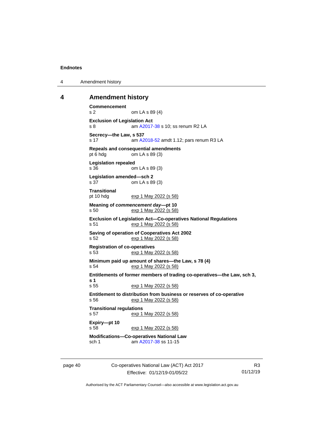4 Amendment history

#### <span id="page-45-0"></span>**4 Amendment history**

```
Commencement
s 2 om LA s 89 (4)
Exclusion of Legislation Act
 A2017-38 s 10; ss renum R2 LA
Secrecy—the Law, s 537<br>s 17 am A2
                 A2018-52 amdt 1.12; pars renum R3 LA
Repeals and consequential amendments
pt 6 hdg om LA s 89 (3)
Legislation repealed
s 36 om LA s 89 (3)
Legislation amended—sch 2
s 37 om LA s 89 (3)
Transitional
pt 10 hdg exp 1 May 2022 (s 58)
Meaning of commencement day—pt 10
s 50 exp 1 May 2022 (s 58)
Exclusion of Legislation Act—Co-operatives National Regulations
s 51 exp 1 May 2022 (s 58)
Saving of operation of Cooperatives Act 2002
s 52 exp 1 May 2022 (s 58)
Registration of co-operatives<br>s 53 exp 1 May 2
                exp 1 May 2022 (s 58)
Minimum paid up amount of shares—the Law, s 78 (4)
s 54 exp 1 May 2022 (s 58)
Entitlements of former members of trading co-operatives—the Law, sch 3, 
s 1
s 55 exp 1 May 2022 (s 58)
Entitlement to distribution from business or reserves of co-operative
s 56 exp 1 May 2022 (s 58)
Transitional regulations<br>s 57 exp 1
                exp 1 May 2022 (s 58)
Expiry—pt 10
s 58 exp 1 May 2022 (s 58)
Modifications—Co-operatives National Law<br>sch 1 am A2017-38 ss 11-15
                A2017-38 ss 11-15
```
page 40 Co-operatives National Law (ACT) Act 2017 Effective: 01/12/19-01/05/22

R3 01/12/19